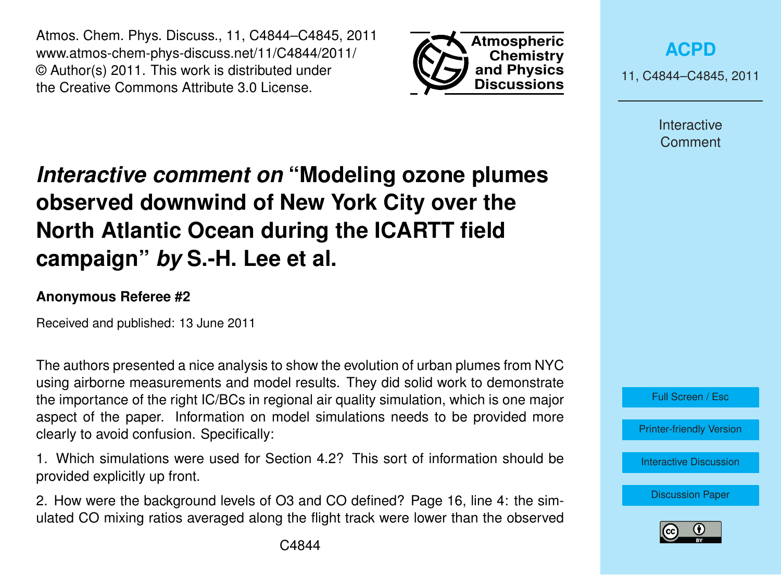Atmos. Chem. Phys. Discuss., 11, C4844–C4845, 2011 www.atmos-chem-phys-discuss.net/11/C4844/2011/ © Author(s) 2011. This work is distributed under the Creative Commons Attribute 3.0 License.



**[ACPD](http://www.atmos-chem-phys-discuss.net)**

11, C4844–C4845, 2011

Interactive **Comment** 

## *Interactive comment on* **"Modeling ozone plumes observed downwind of New York City over the North Atlantic Ocean during the ICARTT field campaign"** *by* **S.-H. Lee et al.**

## **Anonymous Referee #2**

Received and published: 13 June 2011

The authors presented a nice analysis to show the evolution of urban plumes from NYC using airborne measurements and model results. They did solid work to demonstrate the importance of the right IC/BCs in regional air quality simulation, which is one major aspect of the paper. Information on model simulations needs to be provided more clearly to avoid confusion. Specifically:

1. Which simulations were used for Section 4.2? This sort of information should be provided explicitly up front.

2. How were the background levels of O3 and CO defined? Page 16, line 4: the simulated CO mixing ratios averaged along the flight track were lower than the observed